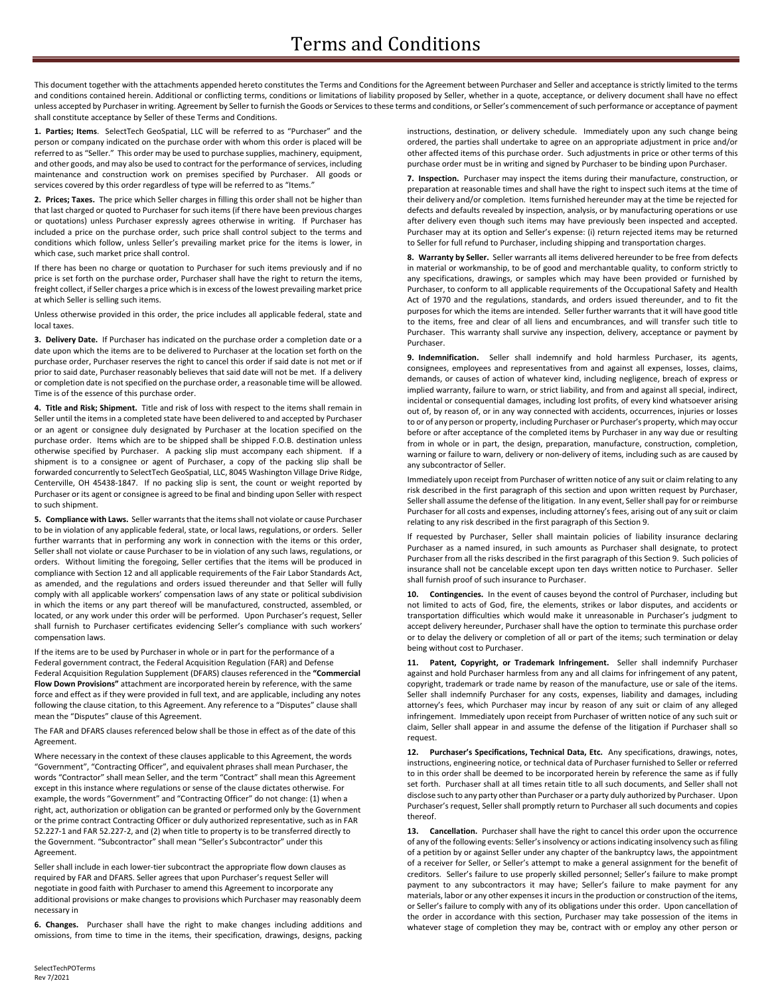This document together with the attachments appended hereto constitutes the Terms and Conditions for the Agreement between Purchaser and Seller and acceptance is strictly limited to the terms and conditions contained herein. Additional or conflicting terms, conditions or limitations of liability proposed by Seller, whether in a quote, acceptance, or delivery document shall have no effect unless accepted by Purchaser in writing. Agreement by Seller to furnish the Goods or Services to these terms and conditions, or Seller's commencement of such performance or acceptance of payment shall constitute acceptance by Seller of these Terms and Conditions.

**1. Parties; Items**. SelectTech GeoSpatial, LLC will be referred to as "Purchaser" and the person or company indicated on the purchase order with whom this order is placed will be referred to as "Seller." This order may be used to purchase supplies, machinery, equipment, and other goods, and may also be used to contract for the performance of services, including maintenance and construction work on premises specified by Purchaser. All goods or services covered by this order regardless of type will be referred to as "Items."

**2. Prices; Taxes.** The price which Seller charges in filling this order shall not be higher than that last charged or quoted to Purchaser for such items (if there have been previous charges or quotations) unless Purchaser expressly agrees otherwise in writing. If Purchaser has included a price on the purchase order, such price shall control subject to the terms and conditions which follow, unless Seller's prevailing market price for the items is lower, in which case, such market price shall control.

If there has been no charge or quotation to Purchaser for such items previously and if no price is set forth on the purchase order, Purchaser shall have the right to return the items, freight collect, if Seller charges a price which is in excess of the lowest prevailing market price at which Seller is selling such items.

Unless otherwise provided in this order, the price includes all applicable federal, state and local taxes.

**3. Delivery Date.** If Purchaser has indicated on the purchase order a completion date or a date upon which the items are to be delivered to Purchaser at the location set forth on the purchase order, Purchaser reserves the right to cancel this order if said date is not met or if prior to said date, Purchaser reasonably believes that said date will not be met. If a delivery or completion date is not specified on the purchase order, a reasonable time will be allowed. Time is of the essence of this purchase order.

**4. Title and Risk; Shipment.** Title and risk of loss with respect to the items shall remain in Seller until the items in a completed state have been delivered to and accepted by Purchaser or an agent or consignee duly designated by Purchaser at the location specified on the purchase order. Items which are to be shipped shall be shipped F.O.B. destination unless otherwise specified by Purchaser. A packing slip must accompany each shipment. If a shipment is to a consignee or agent of Purchaser, a copy of the packing slip shall be forwarded concurrently to SelectTech GeoSpatial, LLC, 8045 Washington Village Drive Ridge, Centerville, OH 45438-1847. If no packing slip is sent, the count or weight reported by Purchaser or its agent or consignee is agreed to be final and binding upon Seller with respect to such shipment.

**5. Compliance with Laws.** Seller warrantsthat the itemsshall not violate or cause Purchaser to be in violation of any applicable federal, state, or local laws, regulations, or orders. Seller further warrants that in performing any work in connection with the items or this order, Seller shall not violate or cause Purchaser to be in violation of any such laws, regulations, or orders. Without limiting the foregoing, Seller certifies that the items will be produced in compliance with Section 12 and all applicable requirements of the Fair Labor Standards Act, as amended, and the regulations and orders issued thereunder and that Seller will fully comply with all applicable workers' compensation laws of any state or political subdivision in which the items or any part thereof will be manufactured, constructed, assembled, or located, or any work under this order will be performed. Upon Purchaser's request, Seller shall furnish to Purchaser certificates evidencing Seller's compliance with such workers' compensation laws.

If the items are to be used by Purchaser in whole or in part for the performance of a Federal government contract, the Federal Acquisition Regulation (FAR) and Defense Federal Acquisition Regulation Supplement (DFARS) clauses referenced in the **"Commercial Flow Down Provisions"** attachment are incorporated herein by reference, with the same force and effect as if they were provided in full text, and are applicable, including any notes following the clause citation, to this Agreement. Any reference to a "Disputes" clause shall mean the "Disputes" clause of this Agreement.

The FAR and DFARS clauses referenced below shall be those in effect as of the date of this Agreement.

Where necessary in the context of these clauses applicable to this Agreement, the words "Government", "Contracting Officer", and equivalent phrases shall mean Purchaser, the words "Contractor" shall mean Seller, and the term "Contract" shall mean this Agreement except in this instance where regulations or sense of the clause dictates otherwise. For example, the words "Government" and "Contracting Officer" do not change: (1) when a right, act, authorization or obligation can be granted or performed only by the Government or the prime contract Contracting Officer or duly authorized representative, such as in FAR 52.227‐1 and FAR 52.227‐2, and (2) when title to property is to be transferred directly to the Government. "Subcontractor" shall mean "Seller's Subcontractor" under this Agreement.

Seller shall include in each lower-tier subcontract the appropriate flow down clauses as required by FAR and DFARS. Seller agrees that upon Purchaser's request Seller will negotiate in good faith with Purchaser to amend this Agreement to incorporate any additional provisions or make changes to provisions which Purchaser may reasonably deem necessary in

**6. Changes.** Purchaser shall have the right to make changes including additions and omissions, from time to time in the items, their specification, drawings, designs, packing

instructions, destination, or delivery schedule. Immediately upon any such change being ordered, the parties shall undertake to agree on an appropriate adjustment in price and/or other affected items of this purchase order. Such adjustments in price or other terms of this purchase order must be in writing and signed by Purchaser to be binding upon Purchaser.

**7. Inspection.** Purchaser may inspect the items during their manufacture, construction, or preparation at reasonable times and shall have the right to inspect such items at the time of their delivery and/or completion. Items furnished hereunder may at the time be rejected for defects and defaults revealed by inspection, analysis, or by manufacturing operations or use after delivery even though such items may have previously been inspected and accepted. Purchaser may at its option and Seller's expense: (i) return rejected items may be returned to Seller for full refund to Purchaser, including shipping and transportation charges.

**8. Warranty by Seller.** Seller warrants all items delivered hereunder to be free from defects in material or workmanship, to be of good and merchantable quality, to conform strictly to any specifications, drawings, or samples which may have been provided or furnished by Purchaser, to conform to all applicable requirements of the Occupational Safety and Health Act of 1970 and the regulations, standards, and orders issued thereunder, and to fit the purposes for which the items are intended. Seller further warrants that it will have good title to the items, free and clear of all liens and encumbrances, and will transfer such title to Purchaser. This warranty shall survive any inspection, delivery, acceptance or payment by Purchaser.

**9. Indemnification.** Seller shall indemnify and hold harmless Purchaser, its agents, consignees, employees and representatives from and against all expenses, losses, claims, demands, or causes of action of whatever kind, including negligence, breach of express or implied warranty, failure to warn, or strict liability, and from and against all special, indirect, incidental or consequential damages, including lost profits, of every kind whatsoever arising out of, by reason of, or in any way connected with accidents, occurrences, injuries or losses to or of any person or property, including Purchaser or Purchaser's property, which may occur before or after acceptance of the completed items by Purchaser in any way due or resulting from in whole or in part, the design, preparation, manufacture, construction, completion, warning or failure to warn, delivery or non-delivery of items, including such as are caused by any subcontractor of Seller.

Immediately upon receipt from Purchaser of written notice of any suit or claim relating to any risk described in the first paragraph of this section and upon written request by Purchaser, Seller shall assume the defense of the litigation. In any event, Seller shall pay for or reimburse Purchaser for all costs and expenses, including attorney's fees, arising out of any suit or claim relating to any risk described in the first paragraph of this Section 9.

If requested by Purchaser, Seller shall maintain policies of liability insurance declaring Purchaser as a named insured, in such amounts as Purchaser shall designate, to protect Purchaser from all the risks described in the first paragraph of this Section 9. Such policies of insurance shall not be cancelable except upon ten days written notice to Purchaser. Seller shall furnish proof of such insurance to Purchaser.

**10. Contingencies.** In the event of causes beyond the control of Purchaser, including but not limited to acts of God, fire, the elements, strikes or labor disputes, and accidents or transportation difficulties which would make it unreasonable in Purchaser's judgment to accept delivery hereunder, Purchaser shall have the option to terminate this purchase order or to delay the delivery or completion of all or part of the items; such termination or delay being without cost to Purchaser.

**11. Patent, Copyright, or Trademark Infringement.** Seller shall indemnify Purchaser against and hold Purchaser harmless from any and all claims for infringement of any patent, copyright, trademark or trade name by reason of the manufacture, use or sale of the items. Seller shall indemnify Purchaser for any costs, expenses, liability and damages, including attorney's fees, which Purchaser may incur by reason of any suit or claim of any alleged infringement. Immediately upon receipt from Purchaser of written notice of any such suit or claim, Seller shall appear in and assume the defense of the litigation if Purchaser shall so request.

**12. Purchaser's Specifications, Technical Data, Etc.** Any specifications, drawings, notes, instructions, engineering notice, or technical data of Purchaser furnished to Seller or referred to in this order shall be deemed to be incorporated herein by reference the same as if fully set forth. Purchaser shall at all times retain title to all such documents, and Seller shall not disclose such to any party other than Purchaser or a party duly authorized by Purchaser. Upon Purchaser's request, Seller shall promptly return to Purchaser all such documents and copies thereof.

**13. Cancellation.** Purchaser shall have the right to cancel this order upon the occurrence of any of the following events: Seller's insolvency or actions indicating insolvency such as filing of a petition by or against Seller under any chapter of the bankruptcy laws, the appointment of a receiver for Seller, or Seller's attempt to make a general assignment for the benefit of creditors. Seller's failure to use properly skilled personnel; Seller's failure to make prompt payment to any subcontractors it may have; Seller's failure to make payment for any materials, labor or any other expenses it incurs in the production or construction of the items, or Seller's failure to comply with any of its obligations under this order. Upon cancellation of the order in accordance with this section, Purchaser may take possession of the items in whatever stage of completion they may be, contract with or employ any other person or